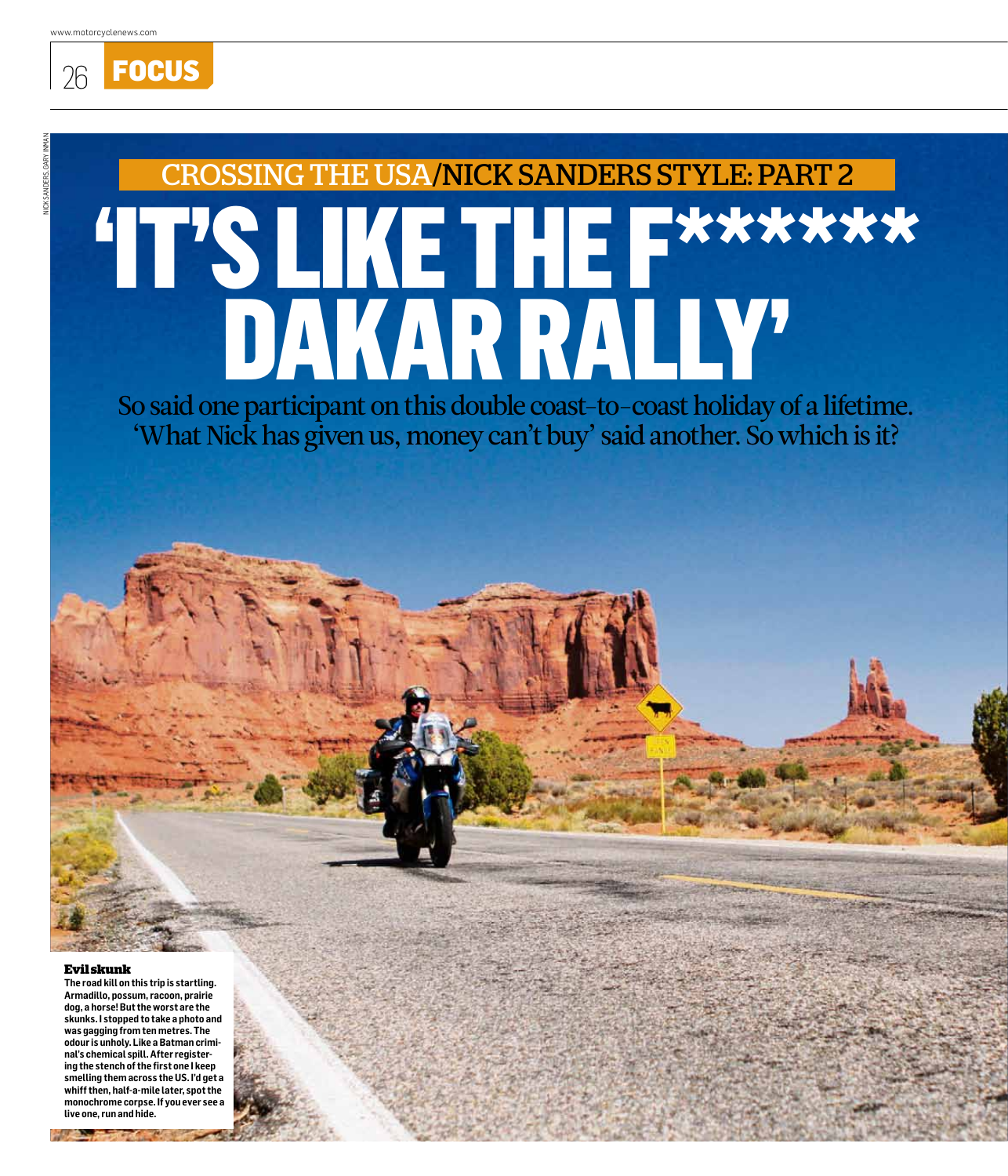26 **Focus** 

# 'It's like the f\*\*\*\*\*\* Dakar rally' CROSSING THE USA/NICK SANDERS STYLE: part 2

So said one participant on this double coast-to-coast holiday of a lifetime. 'What Nick has given us, money can't buy' said another. So which is it?

#### **Evil skunk**

**The road kill on this trip is startling. Armadillo, possum, racoon, prairie dog, a horse! But the worst are the skunks. I stopped to take a photo and was gagging from ten metres. The odour is unholy. Like a Batman criminal's chemical spill. After registering the stench of the first one I keep smelling them across the US. I'd get a whiff then, half-a-mile later, spot the monochrome corpse. If you ever see a live one, run and hide.** 

**PERSONAL**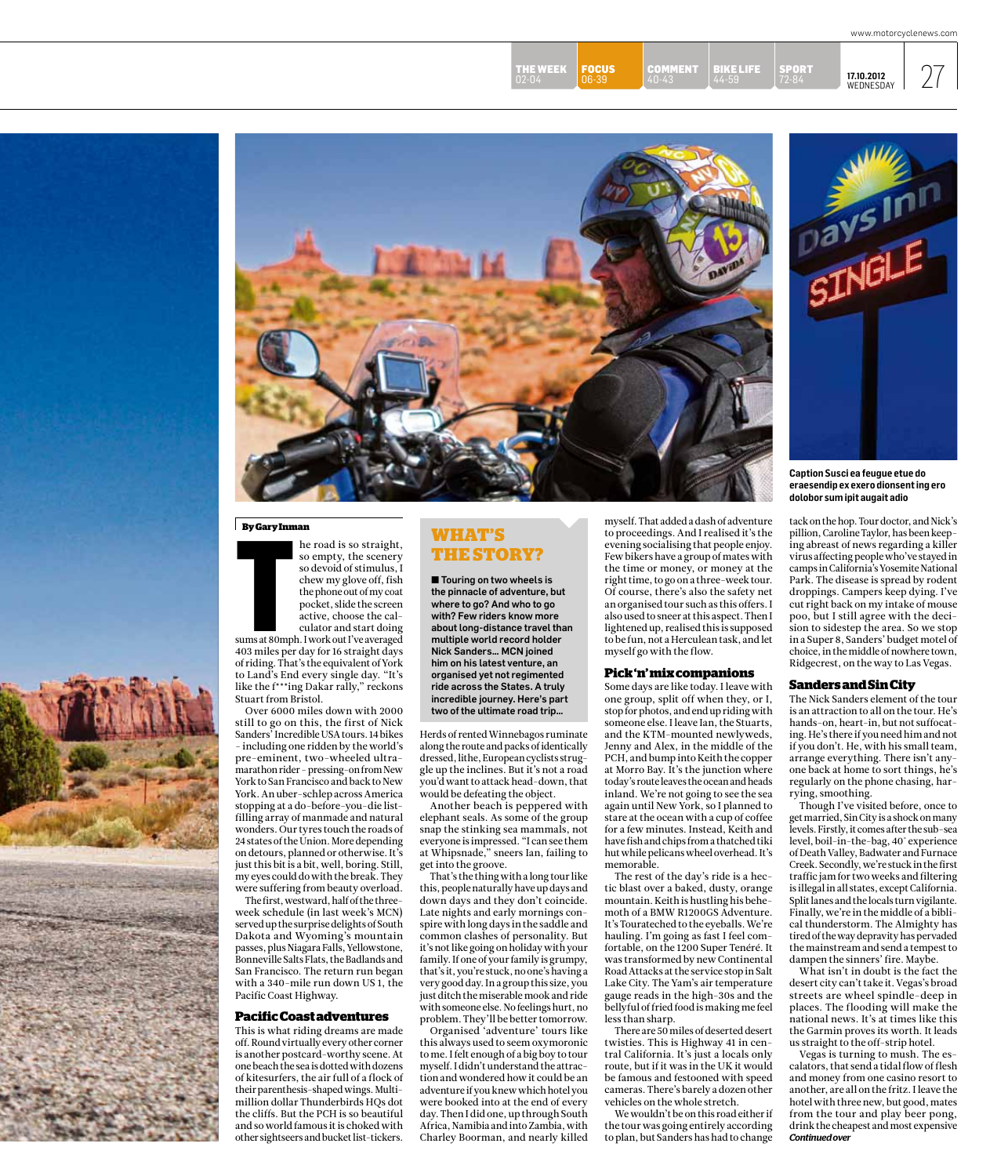40-43 **FOCUS** 06-39 THE WEEK<br>02-04 THE WEEK **FOCUS** COMMENT BIKE LIFE SPORT 17.10.2012 27<br>02-04 06-39 40-43 44-59 72-84 WEDNESDAY

BIKE LIFE 44-59 COMMENT

**17.10.2012** Wednesday

SPORT 72-84



#### **By Gary Inman**



sums at 80mph. I work out I've averaged 403 miles per day for 16 straight days of riding. That's the equivalent of York to Land's End every single day. "It's like the f\*\*\*ing Dakar rally," reckons Stuart from Bristol.

Over 6000 miles down with 2000 still to go on this, the first of Nick Sanders' Incredible USA tours. 14 bikes - including one ridden by the world's pre-eminent, two-wheeled ultramarathon rider - pressing-on from New York to San Francisco and back to New York. An uber-schlep across America stopping at a do-before-you-die listfilling array of manmade and natural wonders. Our tyres touch the roads of 24 states of the Union. More depending on detours, planned or otherwise. It's just this bit is a bit, well, boring. Still, my eyes could do with the break. They were suffering from beauty overload.

The first, westward, half of the threeweek schedule (in last week's MCN) served up the surprise delights of South Dakota and Wyoming's mountain passes, plus Niagara Falls, Yellowstone, Bonneville Salts Flats, the Badlands and San Francisco. The return run began with a 340-mile run down US 1, the Pacific Coast Highway.

#### **Pacific Coast adventures**

This is what riding dreams are made off. Round virtually every other corner is another postcard-worthy scene. At one beach the sea is dotted with dozens of kitesurfers, the air full of a flock of their parenthesis-shaped wings. Multimillion dollar Thunderbirds HQs dot the cliffs. But the PCH is so beautiful and so world famous it is choked with other sightseers and bucket list-tickers.

## **What's**

 $\blacksquare$  Touring on two wheels is the pinnacle of adventure, but where to go? And who to go with? Few riders know more about long-distance travel than multiple world record holder Nick Sanders… MCN joined him on his latest venture, an organised yet not regimented ride across the States. A truly incredible journey. Here's part two of the ultimate road trip…

Herds of rented Winnebagos ruminate along the route and packs of identically dressed, lithe, European cyclists struggle up the inclines. But it's not a road you'd want to attack head-down, that would be defeating the object.

Another beach is peppered with elephant seals. As some of the group snap the stinking sea mammals, not everyone is impressed. "I can see them at Whipsnade," sneers Ian, failing to get into the groove.

That's the thing with a long tour like this, people naturally have up days and down days and they don't coincide. Late nights and early mornings conspire with long days in the saddle and common clashes of personality. But it's not like going on holiday with your family. If one of your family is grumpy, that's it, you're stuck, no one's having a very good day. In a group this size, you just ditch the miserable mook and ride with someone else. No feelings hurt, no problem. They'll be better tomorrow.

Organised 'adventure' tours like this always used to seem oxymoronic to me. I felt enough of a big boy to tour myself. I didn't understand the attraction and wondered how it could be an adventure if you knew which hotel you were booked into at the end of every day. Then I did one, up through South Africa, Namibia and into Zambia, with Charley Boorman, and nearly killed

myself. That added a dash of adventure to proceedings. And I realised it's the evening socialising that people enjoy. Few bikers have a group of mates with the time or money, or money at the right time, to go on a three-week tour. Of course, there's also the safety net an organised tour such as this offers. I also used to sneer at this aspect. Then I lightened up, realised this is supposed to be fun, not a Herculean task, and let myself go with the flow.

#### **Pick 'n' mix companions**

Some days are like today. I leave with one group, split off when they, or I, stop for photos, and end up riding with someone else. I leave Ian, the Stuarts, and the KTM-mounted newlyweds, Jenny and Alex, in the middle of the PCH, and bump into Keith the copper at Morro Bay. It's the junction where today's route leaves the ocean and heads inland. We're not going to see the sea again until New York, so I planned to stare at the ocean with a cup of coffee for a few minutes. Instead, Keith and have fish and chips from a thatched tiki hut while pelicans wheel overhead. It's memorable.

The rest of the day's ride is a hectic blast over a baked, dusty, orange mountain. Keith is hustling his behemoth of a BMW R1200GS Adventure. It's Tourateched to the eyeballs. We're hauling. I'm going as fast I feel comfortable, on the 1200 Super Tenéré. It was transformed by new Continental Road Attacks at the service stop in Salt Lake City. The Yam's air temperature gauge reads in the high-30s and the bellyful of fried food is making me feel less than sharp.

There are 50 miles of deserted desert twisties. This is Highway 41 in central California. It's just a locals only route, but if it was in the UK it would be famous and festooned with speed cameras. There's barely a dozen other vehicles on the whole stretch.

We wouldn't be on this road either if the tour was going entirely according to plan, but Sanders has had to change



**Caption Susci ea feugue etue do eraesendip ex exero dionsent ing ero dolobor sum ipit augait adio**

tack on the hop. Tour doctor, and Nick's pillion, Caroline Taylor, has been keeping abreast of news regarding a killer virus affecting people who've stayed in camps in California's Yosemite National Park. The disease is spread by rodent droppings. Campers keep dying. I've cut right back on my intake of mouse poo, but I still agree with the decision to sidestep the area. So we stop in a Super 8, Sanders' budget motel of choice, in the middle of nowhere town, Ridgecrest, on the way to Las Vegas.

#### **Sanders and Sin City**

The Nick Sanders element of the tour is an attraction to all on the tour. He's hands-on, heart-in, but not suffocating. He's there if you need him and not if you don't. He, with his small team, arrange everything. There isn't anyone back at home to sort things, he's regularly on the phone chasing, harrying, smoothing.

Though I've visited before, once to get married, Sin City is a shock on many levels. Firstly, it comes after the sub-sea level, boil-in-the-bag, 40˚ experience of Death Valley, Badwater and Furnace Creek. Secondly, we're stuck in the first traffic jam for two weeks and filtering is illegal in all states, except California. Split lanes and the locals turn vigilante. Finally, we're in the middle of a biblical thunderstorm. The Almighty has tired of the way depravity has pervaded the mainstream and send a tempest to dampen the sinners' fire. Maybe.

What isn't in doubt is the fact the desert city can't take it. Vegas's broad streets are wheel spindle-deep in places. The flooding will make the national news. It's at times like this the Garmin proves its worth. It leads us straight to the off-strip hotel.

*Continued over* Vegas is turning to mush. The escalators, that send a tidal flow of flesh and money from one casino resort to another, are all on the fritz. I leave the hotel with three new, but good, mates from the tour and play beer pong, drink the cheapest and most expensive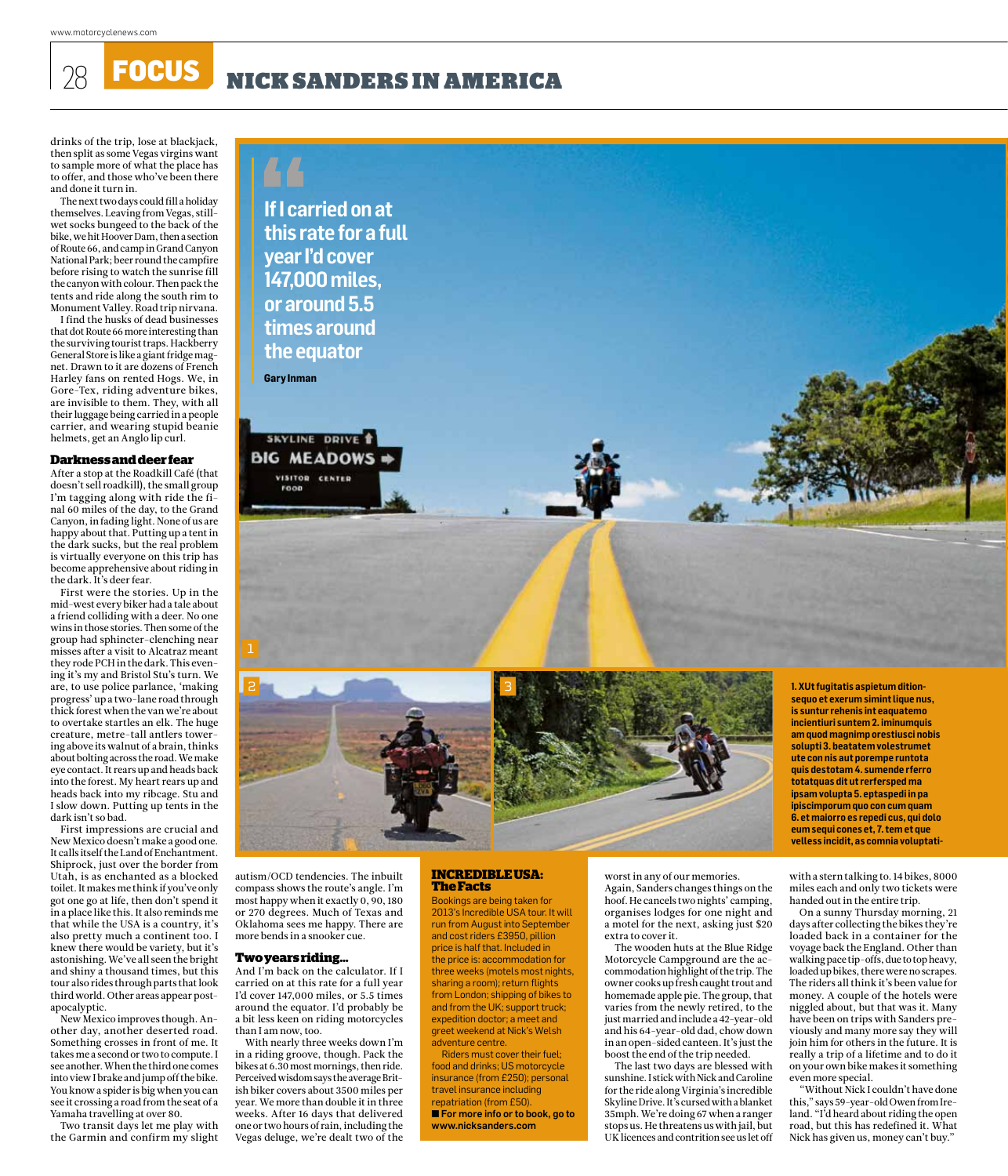28 **FOCUS** NICK SANDERS IN AMERICA

drinks of the trip, lose at blackjack, then split as some Vegas virgins want to sample more of what the place has to offer, and those who've been there and done it turn in.

The next two days could fill a holiday themselves. Leaving from Vegas, stillwet socks bungeed to the back of the bike, we hit Hoover Dam, then a section of Route 66, and camp in Grand Canyon National Park; beer round the campfire before rising to watch the sunrise fill the canyon with colour. Then pack the tents and ride along the south rim to Monument Valley. Road trip nirvana.

I find the husks of dead businesses that dot Route 66 more interesting than the surviving tourist traps. Hackberry General Store is like a giant fridge magnet. Drawn to it are dozens of French Harley fans on rented Hogs. We, in Gore-Tex, riding adventure bikes, are invisible to them. They, with all their luggage being carried in a people carrier, and wearing stupid beanie helmets, get an Anglo lip curl.

#### **Darkness and deer fear**

After a stop at the Roadkill Café (that doesn't sell roadkill), the small group I'm tagging along with ride the final 60 miles of the day, to the Grand Canyon, in fading light. None of us are happy about that. Putting up a tent in the dark sucks, but the real problem is virtually everyone on this trip has become apprehensive about riding in the dark. It's deer fear.

First were the stories. Up in the mid-west every biker had a tale about a friend colliding with a deer. No one wins in those stories. Then some of the group had sphincter-clenching near misses after a visit to Alcatraz meant they rode PCH in the dark. This evening it's my and Bristol Stu's turn. We are, to use police parlance, 'making progress' up a two-lane road through thick forest when the van we're about to overtake startles an elk. The huge creature, metre-tall antlers towering above its walnut of a brain, thinks about bolting across the road. We make eye contact. It rears up and heads back into the forest. My heart rears up and heads back into my ribcage. Stu and I slow down. Putting up tents in the dark isn't so bad.

First impressions are crucial and New Mexico doesn't make a good one. It calls itself the Land of Enchantment. Shiprock, just over the border from Utah, is as enchanted as a blocked toilet. It makes me think if you've only got one go at life, then don't spend it in a place like this. It also reminds me that while the USA is a country, it's also pretty much a continent too. I knew there would be variety, but it's astonishing. We've all seen the bright and shiny a thousand times, but this tour also rides through parts that look third world. Other areas appear postapocalyptic.

New Mexico improves though. Another day, another deserted road. Something crosses in front of me. It takes me a second or two to compute. I see another. When the third one comes into view I brake and jump off the bike. You know a spider is big when you can see it crossing a road from the seat of a Yamaha travelling at over 80.

Two transit days let me play with the Garmin and confirm my slight





**1. XUt fugitatis aspietum ditionsequo et exerum simint lique nus, is suntur rehenis int eaquatemo incientiuri suntem 2. iminumquis am quod magnimp orestiusci nobis solupti 3. beatatem volestrumet ute con nis aut porempe runtota quis destotam 4. sumende rferro totatquas dit ut rerfersped ma ipsam volupta 5. eptaspedi in pa ipiscimporum quo con cum quam 6. et maiorro es repedi cus, qui dolo eum sequi cones et, 7. tem et que velless incidit, as comnia voluptati-**

autism/OCD tendencies. The inbuilt compass shows the route's angle. I'm most happy when it exactly 0, 90, 180 or 270 degrees. Much of Texas and Oklahoma sees me happy. There are more bends in a snooker cue.

#### **Two years riding…**

And I'm back on the calculator. If I carried on at this rate for a full year I'd cover 147,000 miles, or 5.5 times around the equator. I'd probably be a bit less keen on riding motorcycles than I am now, too.

With nearly three weeks down I'm in a riding groove, though. Pack the bikes at 6.30 most mornings, then ride. Perceived wisdom says the average British biker covers about 3500 miles per year. We more than double it in three weeks. After 16 days that delivered one or two hours of rain, including the Vegas deluge, we're dealt two of the

#### **INCREDIBLE USA: The Facts**

Bookings are being taken for 2013's Incredible USA tour. It will run from August into September and cost riders £3950, pillion price is half that. Included in the price is: accommodation for three weeks (motels most nights, sharing a room); return flights from London; shipping of bikes to and from the UK; support truck; expedition doctor; a meet and greet weekend at Nick's Welsh adventure centre.

Riders must cover their fuel; food and drinks; US motorcycle insurance (from £250); personal travel insurance including repatriation (from £50). **n** For more info or to book, go to www.nicksanders.com

worst in any of our memories. Again, Sanders changes things on the hoof. He cancels two nights' camping, organises lodges for one night and a motel for the next, asking just \$20 extra to cover it.

The wooden huts at the Blue Ridge Motorcycle Campground are the accommodation highlight of the trip. The owner cooks up fresh caught trout and homemade apple pie. The group, that varies from the newly retired, to the just married and include a 42-year-old and his 64-year-old dad, chow down in an open-sided canteen. It's just the boost the end of the trip needed.

The last two days are blessed with sunshine. I stick with Nick and Caroline for the ride along Virginia's incredible Skyline Drive. It's cursed with a blanket 35mph. We're doing 67 when a ranger stops us. He threatens us with jail, but UK licences and contrition see us let off with a stern talking to. 14 bikes, 8000 miles each and only two tickets were handed out in the entire trip.

On a sunny Thursday morning, 21 days after collecting the bikes they're loaded back in a container for the voyage back the England. Other than walking pace tip-offs, due to top heavy, loaded up bikes, there were no scrapes. The riders all think it's been value for money. A couple of the hotels were niggled about, but that was it. Many have been on trips with Sanders previously and many more say they will join him for others in the future. It is really a trip of a lifetime and to do it on your own bike makes it something even more special.

"Without Nick I couldn't have done this," says 59-year-old Owen from Ireland. "I'd heard about riding the open road, but this has redefined it. What Nick has given us, money can't buy."